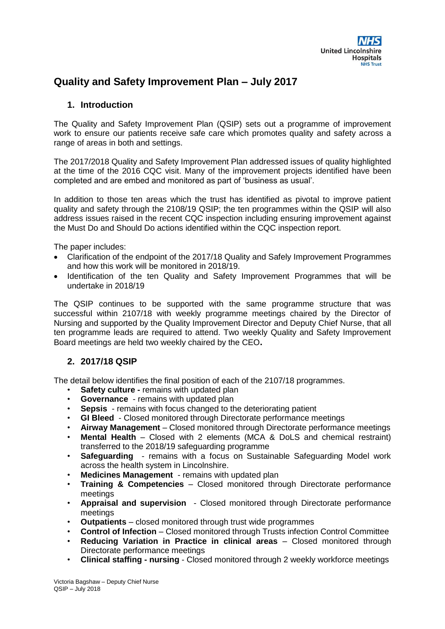

# **Quality and Safety Improvement Plan – July 2017**

## **1. Introduction**

The Quality and Safety Improvement Plan (QSIP) sets out a programme of improvement work to ensure our patients receive safe care which promotes quality and safety across a range of areas in both and settings.

The 2017/2018 Quality and Safety Improvement Plan addressed issues of quality highlighted at the time of the 2016 CQC visit. Many of the improvement projects identified have been completed and are embed and monitored as part of 'business as usual'.

In addition to those ten areas which the trust has identified as pivotal to improve patient quality and safety through the 2108/19 QSIP; the ten programmes within the QSIP will also address issues raised in the recent CQC inspection including ensuring improvement against the Must Do and Should Do actions identified within the CQC inspection report.

The paper includes:

- Clarification of the endpoint of the 2017/18 Quality and Safely Improvement Programmes and how this work will be monitored in 2018/19.
- Identification of the ten Quality and Safety Improvement Programmes that will be undertake in 2018/19

The QSIP continues to be supported with the same programme structure that was successful within 2107/18 with weekly programme meetings chaired by the Director of Nursing and supported by the Quality Improvement Director and Deputy Chief Nurse, that all ten programme leads are required to attend. Two weekly Quality and Safety Improvement Board meetings are held two weekly chaired by the CEO**.**

## **2. 2017/18 QSIP**

The detail below identifies the final position of each of the 2107/18 programmes.

- **Safety culture remains with updated plan**
- **Governance** remains with updated plan
- **Sepsis** remains with focus changed to the deteriorating patient
- **GI Bleed**  Closed monitored through Directorate performance meetings
- **Airway Management** Closed monitored through Directorate performance meetings
- **Mental Health** Closed with 2 elements (MCA & DoLS and chemical restraint) transferred to the 2018/19 safeguarding programme
- **Safeguarding**  remains with a focus on Sustainable Safeguarding Model work across the health system in Lincolnshire.
- **Medicines Management**  remains with updated plan
- **Training & Competencies**  Closed monitored through Directorate performance meetings
- **Appraisal and supervision**  Closed monitored through Directorate performance meetings
- **Outpatients** closed monitored through trust wide programmes
- **Control of Infection**  Closed monitored through Trusts infection Control Committee
- **Reducing Variation in Practice in clinical areas**  Closed monitored through Directorate performance meetings
- **Clinical staffing - nursing**  Closed monitored through 2 weekly workforce meetings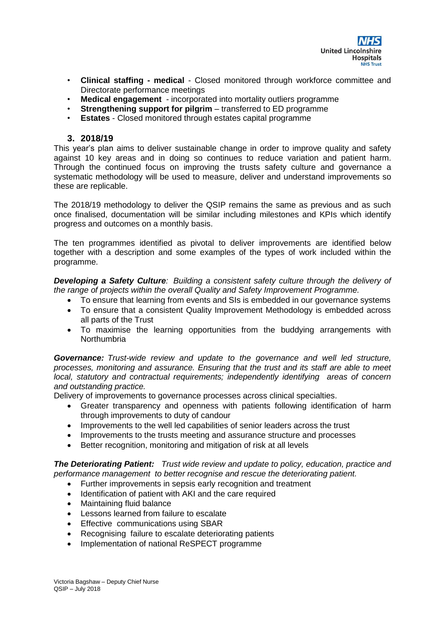

- **Clinical staffing - medical**  Closed monitored through workforce committee and Directorate performance meetings
- **Medical engagement**  incorporated into mortality outliers programme
- **Strengthening support for pilgrim** transferred to ED programme
- **Estates** Closed monitored through estates capital programme

### **3. 2018/19**

This year's plan aims to deliver sustainable change in order to improve quality and safety against 10 key areas and in doing so continues to reduce variation and patient harm. Through the continued focus on improving the trusts safety culture and governance a systematic methodology will be used to measure, deliver and understand improvements so these are replicable.

The 2018/19 methodology to deliver the QSIP remains the same as previous and as such once finalised, documentation will be similar including milestones and KPIs which identify progress and outcomes on a monthly basis.

The ten programmes identified as pivotal to deliver improvements are identified below together with a description and some examples of the types of work included within the programme.

*Developing a Safety Culture: Building a consistent safety culture through the delivery of the range of projects within the overall Quality and Safety Improvement Programme.* 

- To ensure that learning from events and SIs is embedded in our governance systems
- To ensure that a consistent Quality Improvement Methodology is embedded across all parts of the Trust
- To maximise the learning opportunities from the buddying arrangements with **Northumbria**

*Governance: Trust-wide review and update to the governance and well led structure, processes, monitoring and assurance. Ensuring that the trust and its staff are able to meet local, statutory and contractual requirements; independently identifying areas of concern and outstanding practice.*

Delivery of improvements to governance processes across clinical specialties.

- Greater transparency and openness with patients following identification of harm through improvements to duty of candour
- Improvements to the well led capabilities of senior leaders across the trust
- Improvements to the trusts meeting and assurance structure and processes
- Better recognition, monitoring and mitigation of risk at all levels

*The Deteriorating Patient: Trust wide review and update to policy, education, practice and performance management to better recognise and rescue the deteriorating patient.*

- Further improvements in sepsis early recognition and treatment
- Identification of patient with AKI and the care required
- Maintaining fluid balance
- Lessons learned from failure to escalate
- Effective communications using SBAR
- Recognising failure to escalate deteriorating patients
- Implementation of national ReSPECT programme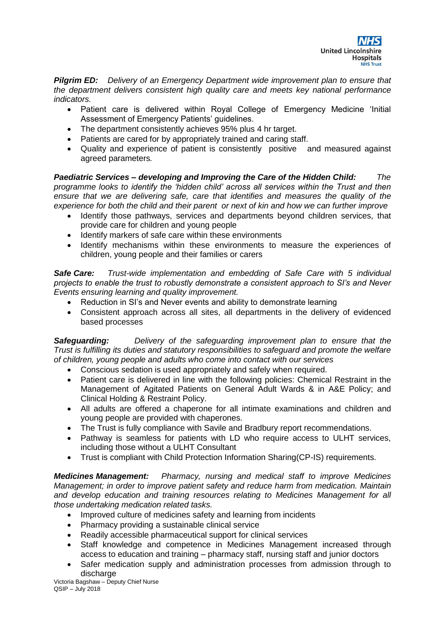

*Pilgrim ED: Delivery of an Emergency Department wide improvement plan to ensure that the department delivers consistent high quality care and meets key national performance indicators.* 

- Patient care is delivered within Royal College of Emergency Medicine 'Initial Assessment of Emergency Patients' guidelines.
- The department consistently achieves 95% plus 4 hr target.
- Patients are cared for by appropriately trained and caring staff.
- Quality and experience of patient is consistently positive and measured against agreed parameters*.*

*Paediatric Services – developing and Improving the Care of the Hidden Child: The programme looks to identify the 'hidden child' across all services within the Trust and then ensure that we are delivering safe, care that identifies and measures the quality of the experience for both the child and their parent or next of kin and how we can further improve*

- Identify those pathways, services and departments beyond children services, that provide care for children and young people
- Identify markers of safe care within these environments
- Identify mechanisms within these environments to measure the experiences of children, young people and their families or carers

*Safe Care: Trust-wide implementation and embedding of Safe Care with 5 individual projects to enable the trust to robustly demonstrate a consistent approach to SI's and Never Events ensuring learning and quality improvement.*

- Reduction in SI's and Never events and ability to demonstrate learning
- Consistent approach across all sites, all departments in the delivery of evidenced based processes

*Safeguarding: Delivery of the safeguarding improvement plan to ensure that the Trust is fulfilling its duties and statutory responsibilities to safeguard and promote the welfare of children, young people and adults who come into contact with our services*

- Conscious sedation is used appropriately and safely when required.
- Patient care is delivered in line with the following policies: Chemical Restraint in the Management of Agitated Patients on General Adult Wards & in A&E Policy; and Clinical Holding & Restraint Policy.
- All adults are offered a chaperone for all intimate examinations and children and young people are provided with chaperones.
- The Trust is fully compliance with Savile and Bradbury report recommendations.
- Pathway is seamless for patients with LD who require access to ULHT services, including those without a ULHT Consultant
- Trust is compliant with Child Protection Information Sharing(CP-IS) requirements.

*Medicines Management: Pharmacy, nursing and medical staff to improve Medicines Management; in order to improve patient safety and reduce harm from medication. Maintain*  and develop education and training resources relating to Medicines Management for all *those undertaking medication related tasks.*

- Improved culture of medicines safety and learning from incidents
- Pharmacy providing a sustainable clinical service
- Readily accessible pharmaceutical support for clinical services
- Staff knowledge and competence in Medicines Management increased through access to education and training – pharmacy staff, nursing staff and junior doctors
- Safer medication supply and administration processes from admission through to discharge

Victoria Bagshaw – Deputy Chief Nurse QSIP – July 2018